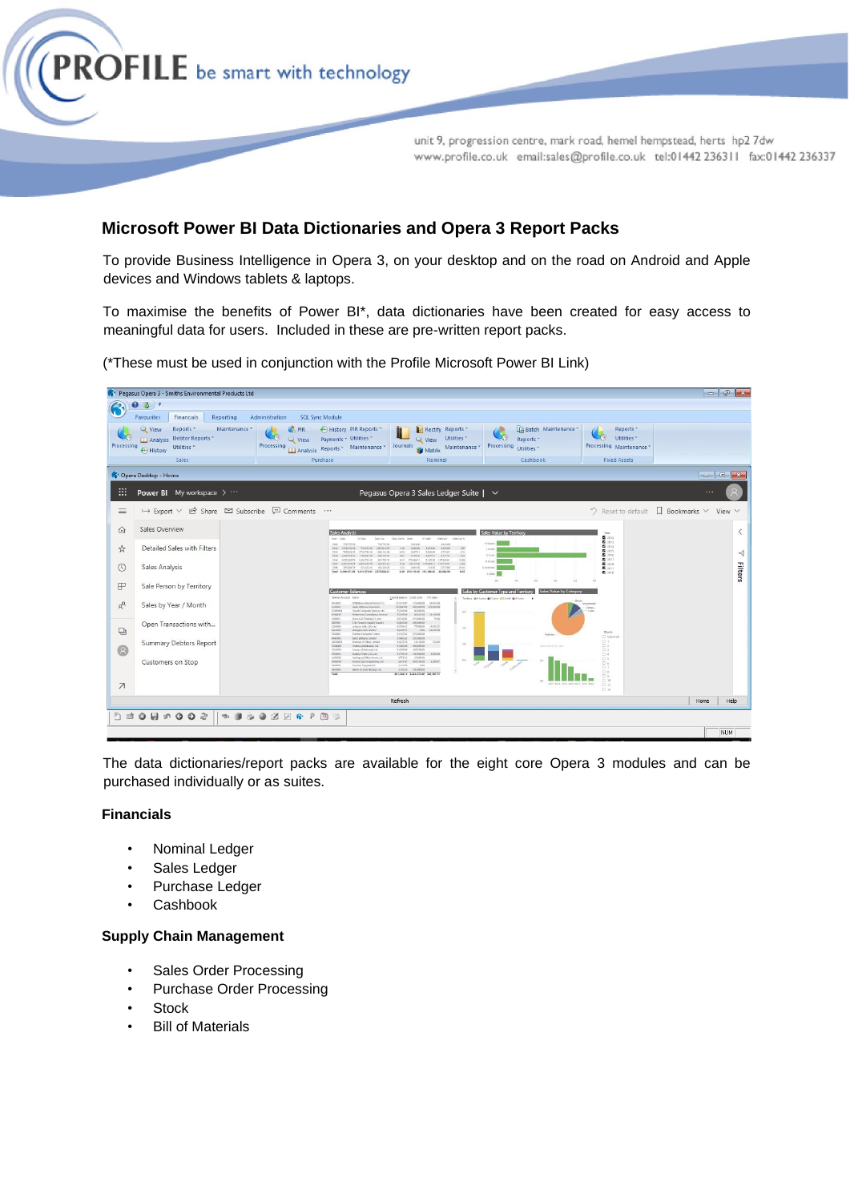

# **Microsoft Power BI Data Dictionaries and Opera 3 Report Packs**

To provide Business Intelligence in Opera 3, on your desktop and on the road on Android and Apple devices and Windows tablets & laptops.

To maximise the benefits of Power BI\*, data dictionaries have been created for easy access to meaningful data for users. Included in these are pre-written report packs.

(\*These must be used in conjunction with the Profile Microsoft Power BI Link)

|                          | 181 Pegasus Opera 3 - Smiths Environmental Products Ltd                                                         |                                                                                                                                                                                                                                                                                                                                                                                                                                                                                                                                                                                                                    |                                                                                                                                                                                                                                                                                                                                                                                                                                       |                                                                                                            |                                                                                                                                          | $\begin{array}{c c c c c c} \hline \multicolumn{3}{c }{\mathbb{D}} & \multicolumn{3}{c }{\mathbb{E}} & \multicolumn{3}{c }{\mathbb{X}} \hline \end{array}$ |
|--------------------------|-----------------------------------------------------------------------------------------------------------------|--------------------------------------------------------------------------------------------------------------------------------------------------------------------------------------------------------------------------------------------------------------------------------------------------------------------------------------------------------------------------------------------------------------------------------------------------------------------------------------------------------------------------------------------------------------------------------------------------------------------|---------------------------------------------------------------------------------------------------------------------------------------------------------------------------------------------------------------------------------------------------------------------------------------------------------------------------------------------------------------------------------------------------------------------------------------|------------------------------------------------------------------------------------------------------------|------------------------------------------------------------------------------------------------------------------------------------------|------------------------------------------------------------------------------------------------------------------------------------------------------------|
|                          | ⋒<br>$\bullet$<br>Reporting<br><b>Favourites</b><br>Financials                                                  | Administration<br><b>SQL Sync Module</b>                                                                                                                                                                                                                                                                                                                                                                                                                                                                                                                                                                           |                                                                                                                                                                                                                                                                                                                                                                                                                                       |                                                                                                            |                                                                                                                                          |                                                                                                                                                            |
| Processing               | Reports *<br>View<br>Maintenance *<br>Analysis Debtor Reports *<br>Utilities <sup>*</sup><br>+ History<br>Sales | $C$ PIR<br>History PIR Reports<br><b>State</b><br>Payments - Utilities -<br><b>Q</b> View<br>Processing<br>Analysis Reports + Maintenance +<br>Purchase                                                                                                                                                                                                                                                                                                                                                                                                                                                            | <b>C</b> Rectify Reports<br>Utilities <sup>*</sup><br><b>Q</b> View<br>Journals<br>Maintenance<br>Matrix<br>Nominal                                                                                                                                                                                                                                                                                                                   | Batch Maintenance<br>Reports *<br>Processing<br>Utilities *<br>Cashbook                                    | Reports *<br>Utilities *<br>Processing Maintenance<br><b>Fixed Assets</b>                                                                |                                                                                                                                                            |
|                          | C <sup>1</sup> Opera Desktop - Home                                                                             |                                                                                                                                                                                                                                                                                                                                                                                                                                                                                                                                                                                                                    |                                                                                                                                                                                                                                                                                                                                                                                                                                       |                                                                                                            |                                                                                                                                          | $\Box$                                                                                                                                                     |
| '#                       | Power BI My workspace >                                                                                         |                                                                                                                                                                                                                                                                                                                                                                                                                                                                                                                                                                                                                    | Pegasus Opera 3 Sales Ledger Suite   $\vee$                                                                                                                                                                                                                                                                                                                                                                                           |                                                                                                            |                                                                                                                                          | $\cdots$                                                                                                                                                   |
| $\equiv$                 | $\mapsto$ Export $\vee$ $\mathcal{Q}$ Share $\mathfrak{Q}$ Subscribe $\mathfrak{Q}$ Comments $\cdots$           |                                                                                                                                                                                                                                                                                                                                                                                                                                                                                                                                                                                                                    |                                                                                                                                                                                                                                                                                                                                                                                                                                       |                                                                                                            |                                                                                                                                          | $\Im$ Reset to default $\Box$ Bookmarks $\vee$ View $\vee$                                                                                                 |
| ⋒<br>☆<br>$\odot$        | Sales Overview<br>Detailed Sales with Filters<br>Sales Analysis                                                 | Sales Analysis<br>Team Cable<br>Sales tax<br>J.V. Gallery<br>- T29,720.00<br>72672556<br>2012<br>2012 174673018 72072539 100721356<br>2011 70210120 17/672616 - 40512116<br>2010 1.020.723.00 PM-001-20 660.122.23<br>2010 2325-0929 1-00723-0 49-100.33<br>2017 220117221 232532323 14593331<br>2010 205-0674 121764-10 18432030<br>Total 9.000.071.05 6.814.278.04 2.575.093.31                                                                                                                                                                                                                                  | Sales Var % Living<br><b>COLLAGE</b><br><b>Date Var</b><br>Charter King No.<br>134300<br>1.043.00<br>136 18030 18030 18910<br>147<br>5,062.00<br>$-0.56$ 6,627.01<br>174501<br>0.34<br>047 5,9558 442701 -172131<br>$-421$<br>Ask 172,666.51<br>\$10550 107,0331<br>32.88<br>010 0021530 17230851 -11277331<br>$-441$<br>152 244150 13450 274700<br>20.63<br>4.11<br>6.36 254,143.62 091,186.52 62,962.50                             | Sales Value by Territor<br>A Abste<br>C Crime<br>G Smith<br>12 Faster<br>K MOGARI<br><b>TWEE</b>           | Test<br>5.2212<br><b>图 2011</b><br><b>四 2014</b><br><b>B</b> 2015<br><b>B</b> 2235<br>图 2017<br><b>B</b> 2018<br><b>B</b> 2011<br>图 2010 | $\langle$<br>$\preceq$<br>Filters                                                                                                                          |
| $\mathbb{F}$<br>$R_{R}$  | Sale Person by Territory<br>Sales by Year / Month                                                               | <b>Customer Balances</b><br>Delbaro Account Name<br>Withsban Internet Service Co.<br>MONE<br>Hard Affective Associates<br><b>RIATOE</b><br>SOUNDS<br><b>Zonald Commune Saninas Led</b><br><b>NEWPORT</b><br>Wenning Construct Seniors                                                                                                                                                                                                                                                                                                                                                                              | Cerret Lebox, Costraine . 172 Sales<br><b>ITLESS</b><br>icenson creator<br>(25,840.00 SHORMAN 125,840.00<br>1020400-<br>0010500<br><b>SM</b><br>7531890 addition Risecon                                                                                                                                                                                                                                                              | Sales by Customer Type and Territory<br>Sales Value by Cata<br>Tentory @A Asses @C Cater @C Solit @H Tomin | Sep.<br><b>Common</b>                                                                                                                    |                                                                                                                                                            |
| ₽<br>Q                   | Open Transactions with<br>Summary Debtors Report<br>Customers on Stop                                           | View (JA) Trading Co. Jack<br>yooso<br>I le Forsont Georg Exports<br>zapise<br>204000<br>inheren Kelly (UK) Ltd.<br><b>ALCOHOL</b><br>Abington Moi Limited<br><b>NATION</b><br>Trenton Computer Cerex<br>Earn William United<br><b>BAXIOO</b><br>ADDODE:<br>Andrews of Clinta United<br>novassi<br>Pointing Directorion Ltd.<br>100900<br>Younge (Edinburgh) Ltd.<br><b>STAGGO</b><br>Checkey Power (GIC) Led<br><b>UASSO</b><br><b><i><u>Instituted Office</u></i></b> Newda Las<br>Adams Light Engineering Ltd.<br>ADANG<br>FRADOS<br>Francois Propreport<br>Anima & Song Haubury Ltd.<br>acustos<br><b>Kong</b> | ELSILOS 115,000.00<br>74.92<br>634576 30036400<br>KLINKAS<br>T7,009.00 13,958.35<br>104.1<br>35,403,72<br>4.00 41258.50<br>24,03.60<br>17120300<br>21905.02 220,000.00<br>14.077.20 14.318.00<br>stage<br>$241$<br>1138500 300,000.00<br>14.233.06 402.508.00<br>1279140 10030300 190500<br>9.774.33<br>0.0000000<br>6.617.07 247,558.00 2,566.07<br>4,160.00<br>$-0.00$<br>4,110.26 100,000.00<br>601,266.19 5,223,672.00 305,464.74 | Vehicles<br><b>Calon Victor Inc. Time</b><br>107 2014 2012 3011                                            | Month.<br>D telected<br>U.S.<br>$\Box$ 2<br>口水<br>$\square$ 4<br>$\Box$ 5<br>□ a<br>D.Y.<br>U.s.<br>日间<br>17.58<br><b>EL 11</b>          |                                                                                                                                                            |
| $\overline{\phantom{a}}$ |                                                                                                                 |                                                                                                                                                                                                                                                                                                                                                                                                                                                                                                                                                                                                                    | Refresh                                                                                                                                                                                                                                                                                                                                                                                                                               |                                                                                                            | 口 12                                                                                                                                     | Help<br>Home                                                                                                                                               |
|                          | $0 H \circ 0 0 0$                                                                                               | <b>* 160 ZE &amp; P B 3</b>                                                                                                                                                                                                                                                                                                                                                                                                                                                                                                                                                                                        |                                                                                                                                                                                                                                                                                                                                                                                                                                       |                                                                                                            |                                                                                                                                          |                                                                                                                                                            |
|                          |                                                                                                                 |                                                                                                                                                                                                                                                                                                                                                                                                                                                                                                                                                                                                                    |                                                                                                                                                                                                                                                                                                                                                                                                                                       |                                                                                                            |                                                                                                                                          | NUM                                                                                                                                                        |

The data dictionaries/report packs are available for the eight core Opera 3 modules and can be purchased individually or as suites.

### **Financials**

- Nominal Ledger
- Sales Ledger
- Purchase Ledger
- Cashbook

#### **Supply Chain Management**

- Sales Order Processing
- Purchase Order Processing
- Stock
- Bill of Materials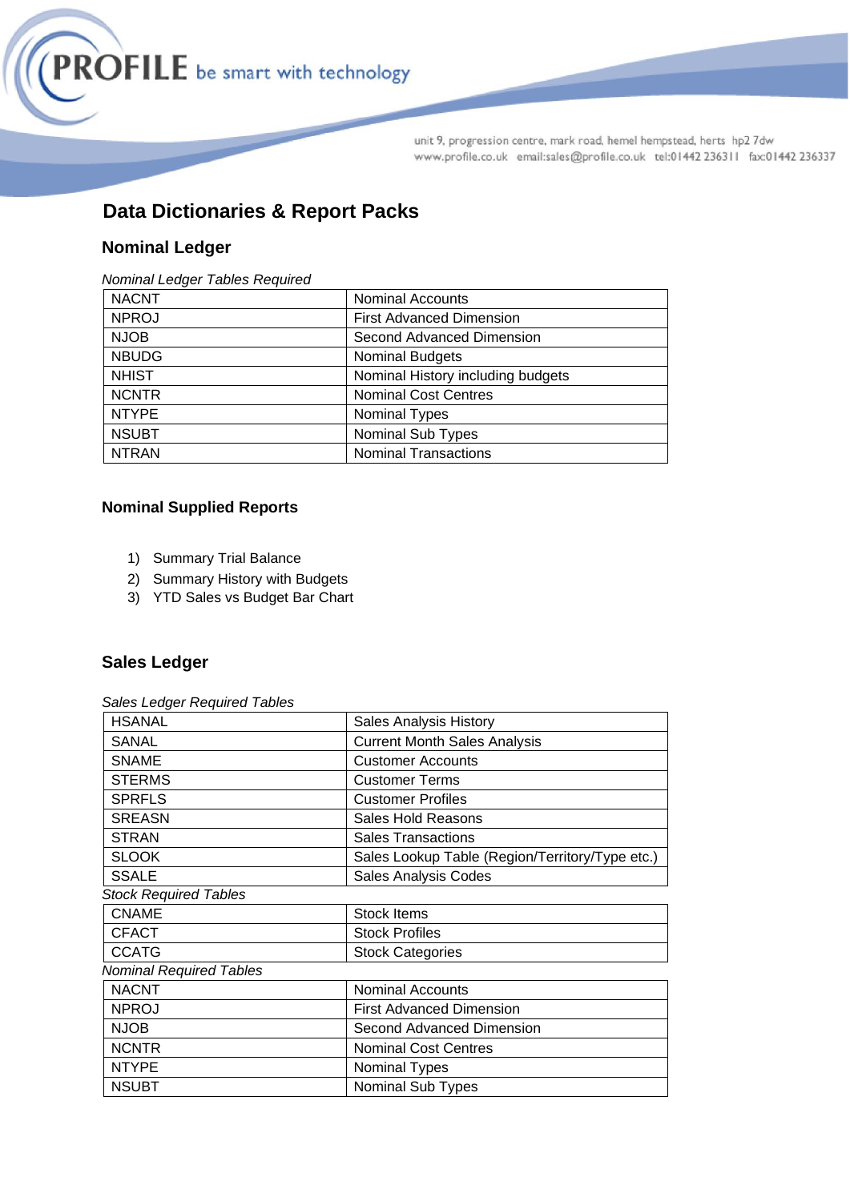

# **Data Dictionaries & Report Packs**

# **Nominal Ledger**

#### *Nominal Ledger Tables Required*

| <b>NACNT</b> | <b>Nominal Accounts</b>           |
|--------------|-----------------------------------|
| <b>NPROJ</b> | <b>First Advanced Dimension</b>   |
| <b>NJOB</b>  | Second Advanced Dimension         |
| <b>NBUDG</b> | <b>Nominal Budgets</b>            |
| <b>NHIST</b> | Nominal History including budgets |
| <b>NCNTR</b> | <b>Nominal Cost Centres</b>       |
| <b>NTYPE</b> | <b>Nominal Types</b>              |
| <b>NSUBT</b> | <b>Nominal Sub Types</b>          |
| <b>NTRAN</b> | <b>Nominal Transactions</b>       |

# **Nominal Supplied Reports**

- 1) Summary Trial Balance
- 2) Summary History with Budgets
- 3) YTD Sales vs Budget Bar Chart

# **Sales Ledger**

*Sales Ledger Required Tables* 

| <b>Sales Analysis History</b>                   |
|-------------------------------------------------|
| <b>Current Month Sales Analysis</b>             |
| <b>Customer Accounts</b>                        |
| <b>Customer Terms</b>                           |
| <b>Customer Profiles</b>                        |
| <b>Sales Hold Reasons</b>                       |
| <b>Sales Transactions</b>                       |
| Sales Lookup Table (Region/Territory/Type etc.) |
| <b>Sales Analysis Codes</b>                     |
|                                                 |
| <b>Stock Items</b>                              |
| <b>Stock Profiles</b>                           |
| <b>Stock Categories</b>                         |
|                                                 |
| <b>Nominal Accounts</b>                         |
| <b>First Advanced Dimension</b>                 |
| Second Advanced Dimension                       |
| <b>Nominal Cost Centres</b>                     |
| <b>Nominal Types</b>                            |
| Nominal Sub Types                               |
|                                                 |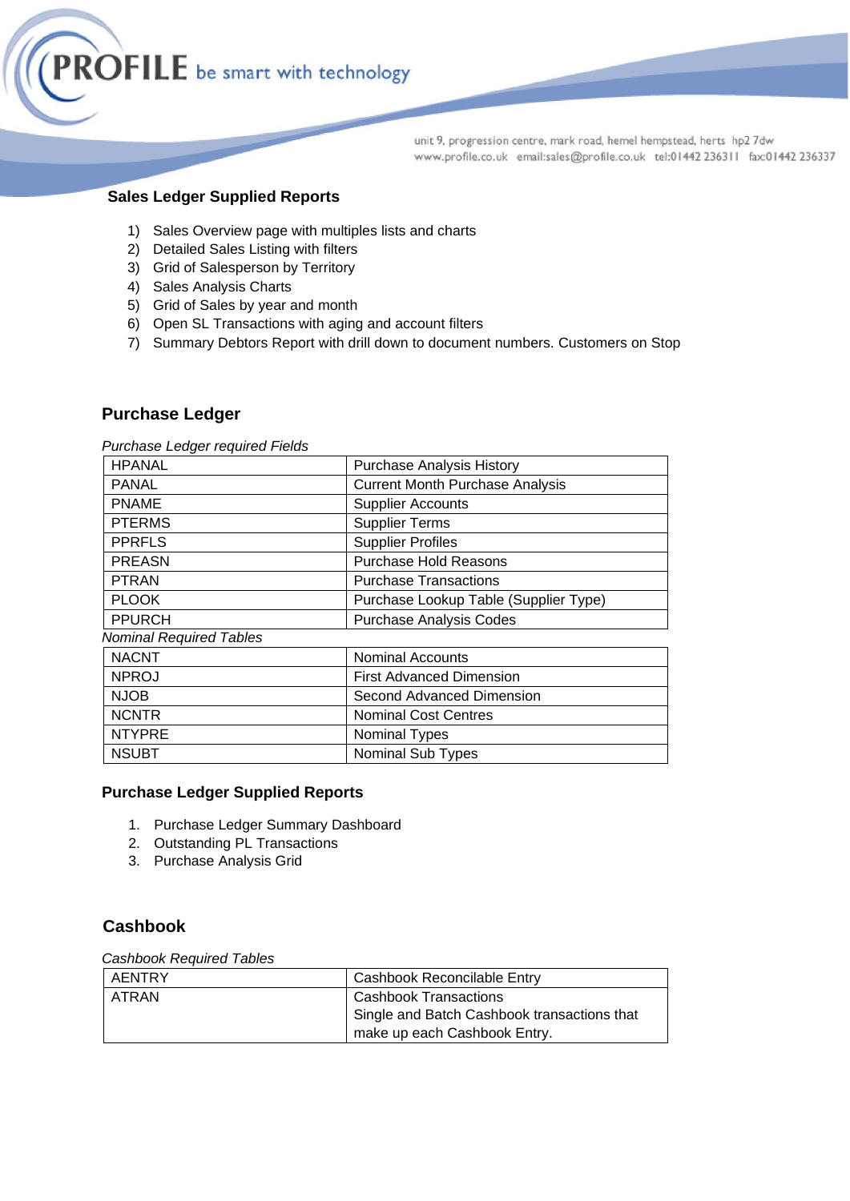

# **Sales Ledger Supplied Reports**

- 1) Sales Overview page with multiples lists and charts
- 2) Detailed Sales Listing with filters
- 3) Grid of Salesperson by Territory
- 4) Sales Analysis Charts
- 5) Grid of Sales by year and month
- 6) Open SL Transactions with aging and account filters
- 7) Summary Debtors Report with drill down to document numbers. Customers on Stop

### **Purchase Ledger**

*Purchase Ledger required Fields* 

| <b>HPANAL</b>                  | <b>Purchase Analysis History</b>       |
|--------------------------------|----------------------------------------|
| PANAL                          | <b>Current Month Purchase Analysis</b> |
| <b>PNAME</b>                   | <b>Supplier Accounts</b>               |
| <b>PTERMS</b>                  | <b>Supplier Terms</b>                  |
| <b>PPRFLS</b>                  | <b>Supplier Profiles</b>               |
| <b>PREASN</b>                  | Purchase Hold Reasons                  |
| <b>PTRAN</b>                   | <b>Purchase Transactions</b>           |
| <b>PLOOK</b>                   | Purchase Lookup Table (Supplier Type)  |
| <b>PPURCH</b>                  | <b>Purchase Analysis Codes</b>         |
| <b>Nominal Required Tables</b> |                                        |
| <b>NACNT</b>                   | Nominal Accounts                       |
| <b>NPROJ</b>                   | <b>First Advanced Dimension</b>        |
| <b>NJOB</b>                    | Second Advanced Dimension              |
| <b>NCNTR</b>                   | <b>Nominal Cost Centres</b>            |
| <b>NTYPRE</b>                  | Nominal Types                          |
| <b>NSUBT</b>                   | Nominal Sub Types                      |

### **Purchase Ledger Supplied Reports**

- 1. Purchase Ledger Summary Dashboard
- 2. Outstanding PL Transactions
- 3. Purchase Analysis Grid

# **Cashbook**

#### *Cashbook Required Tables*

| AENTRY | Cashbook Reconcilable Entry                 |
|--------|---------------------------------------------|
| ATRAN  | <b>Cashbook Transactions</b>                |
|        | Single and Batch Cashbook transactions that |
|        | make up each Cashbook Entry.                |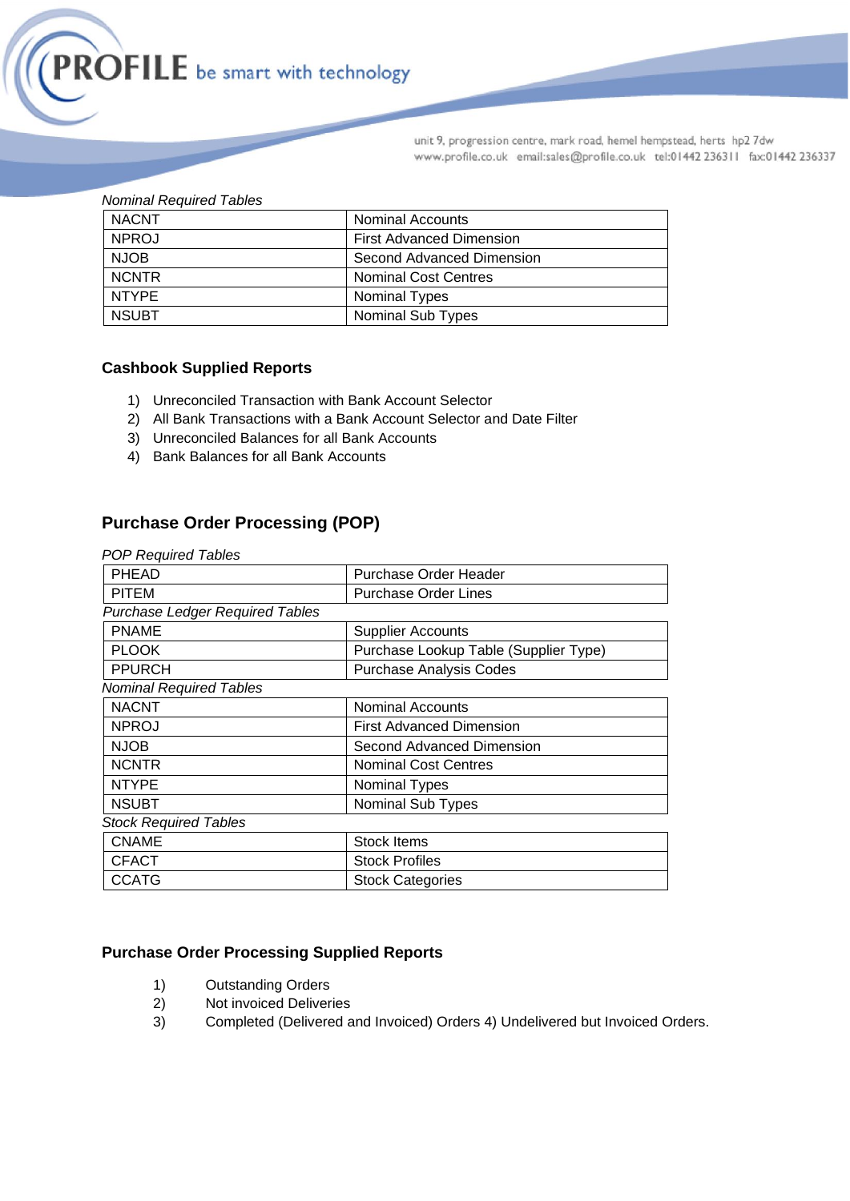

| <b>Nominal Required Tables</b> |  |
|--------------------------------|--|
|                                |  |

| <b>NACNT</b> | <b>Nominal Accounts</b>         |
|--------------|---------------------------------|
| <b>NPROJ</b> | <b>First Advanced Dimension</b> |
| <b>NJOB</b>  | Second Advanced Dimension       |
| <b>NCNTR</b> | <b>Nominal Cost Centres</b>     |
| NTYPE        | <b>Nominal Types</b>            |
| <b>NSUBT</b> | <b>Nominal Sub Types</b>        |

### **Cashbook Supplied Reports**

- 1) Unreconciled Transaction with Bank Account Selector
- 2) All Bank Transactions with a Bank Account Selector and Date Filter
- 3) Unreconciled Balances for all Bank Accounts
- 4) Bank Balances for all Bank Accounts

# **Purchase Order Processing (POP)**

*POP Required Tables* 

| <b>PHEAD</b>                           | Purchase Order Header                 |  |
|----------------------------------------|---------------------------------------|--|
| <b>PITEM</b>                           | <b>Purchase Order Lines</b>           |  |
| <b>Purchase Ledger Required Tables</b> |                                       |  |
| <b>PNAME</b>                           | <b>Supplier Accounts</b>              |  |
| <b>PLOOK</b>                           | Purchase Lookup Table (Supplier Type) |  |
| <b>PPURCH</b>                          | <b>Purchase Analysis Codes</b>        |  |
| <b>Nominal Required Tables</b>         |                                       |  |
| <b>NACNT</b>                           | <b>Nominal Accounts</b>               |  |
| <b>NPROJ</b>                           | <b>First Advanced Dimension</b>       |  |
| <b>NJOB</b>                            | Second Advanced Dimension             |  |
| <b>NCNTR</b>                           | <b>Nominal Cost Centres</b>           |  |
| <b>NTYPE</b>                           | Nominal Types                         |  |
| <b>NSUBT</b>                           | Nominal Sub Types                     |  |
| <b>Stock Required Tables</b>           |                                       |  |
| <b>CNAME</b>                           | <b>Stock Items</b>                    |  |
| <b>CFACT</b>                           | <b>Stock Profiles</b>                 |  |
| <b>CCATG</b>                           | <b>Stock Categories</b>               |  |

### **Purchase Order Processing Supplied Reports**

- 1) Outstanding Orders
- 2) Not invoiced Deliveries
- 3) Completed (Delivered and Invoiced) Orders 4) Undelivered but Invoiced Orders.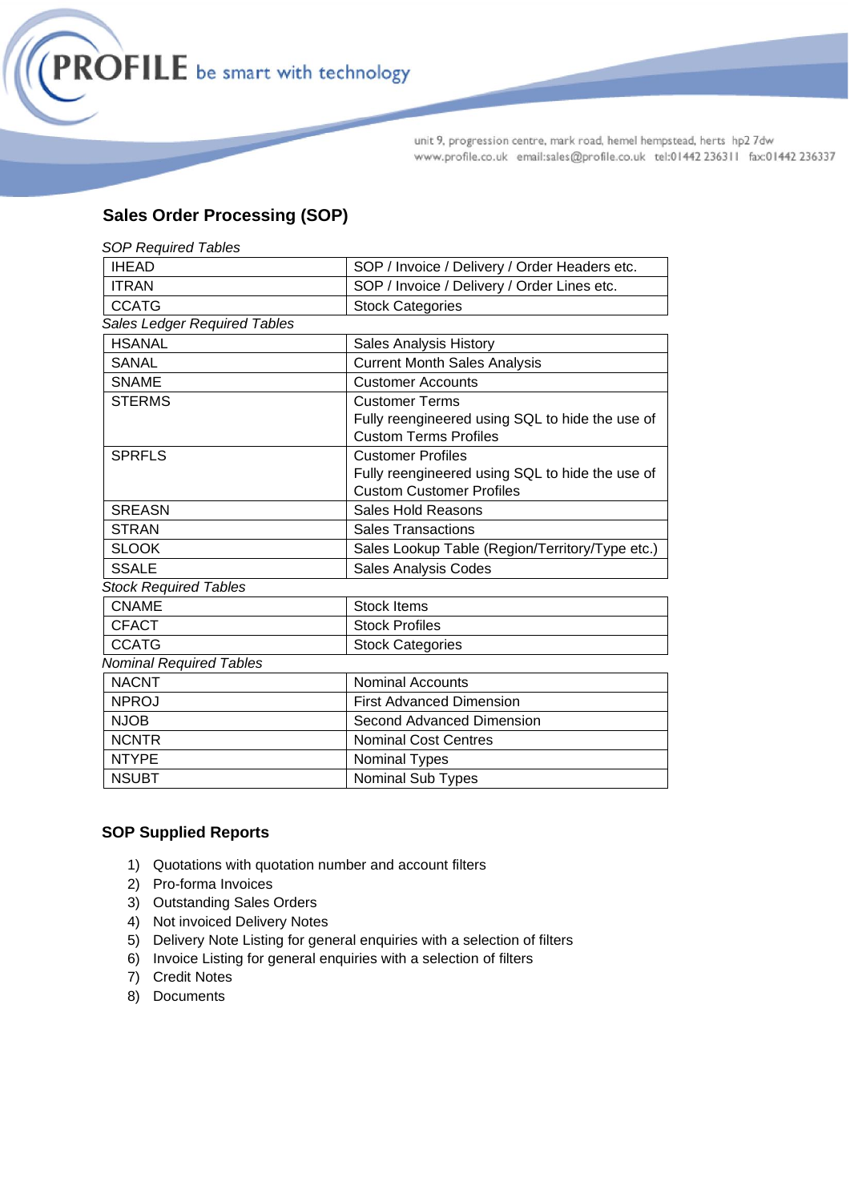

# **Sales Order Processing (SOP)**

| <b>SOP Required Tables</b>          |                                                 |  |
|-------------------------------------|-------------------------------------------------|--|
| <b>IHEAD</b>                        | SOP / Invoice / Delivery / Order Headers etc.   |  |
| <b>ITRAN</b>                        | SOP / Invoice / Delivery / Order Lines etc.     |  |
| <b>CCATG</b>                        | <b>Stock Categories</b>                         |  |
| <b>Sales Ledger Required Tables</b> |                                                 |  |
| <b>HSANAL</b>                       | Sales Analysis History                          |  |
| <b>SANAL</b>                        | <b>Current Month Sales Analysis</b>             |  |
| <b>SNAME</b>                        | <b>Customer Accounts</b>                        |  |
| <b>STERMS</b>                       | <b>Customer Terms</b>                           |  |
|                                     | Fully reengineered using SQL to hide the use of |  |
|                                     | <b>Custom Terms Profiles</b>                    |  |
| <b>SPRFLS</b>                       | <b>Customer Profiles</b>                        |  |
|                                     | Fully reengineered using SQL to hide the use of |  |
|                                     | <b>Custom Customer Profiles</b>                 |  |
| <b>SREASN</b>                       | <b>Sales Hold Reasons</b>                       |  |
| <b>STRAN</b>                        | <b>Sales Transactions</b>                       |  |
| <b>SLOOK</b>                        | Sales Lookup Table (Region/Territory/Type etc.) |  |
| <b>SSALE</b>                        | <b>Sales Analysis Codes</b>                     |  |
| <b>Stock Required Tables</b>        |                                                 |  |
| <b>CNAME</b>                        | <b>Stock Items</b>                              |  |
| <b>CFACT</b>                        | <b>Stock Profiles</b>                           |  |
| <b>CCATG</b>                        | <b>Stock Categories</b>                         |  |
| <b>Nominal Required Tables</b>      |                                                 |  |
| <b>NACNT</b>                        | <b>Nominal Accounts</b>                         |  |
| <b>NPROJ</b>                        | <b>First Advanced Dimension</b>                 |  |
| <b>NJOB</b>                         | Second Advanced Dimension                       |  |
| <b>NCNTR</b>                        | <b>Nominal Cost Centres</b>                     |  |
| <b>NTYPE</b>                        | Nominal Types                                   |  |
| <b>NSUBT</b>                        | Nominal Sub Types                               |  |

# **SOP Supplied Reports**

- 1) Quotations with quotation number and account filters
- 2) Pro-forma Invoices
- 3) Outstanding Sales Orders
- 4) Not invoiced Delivery Notes
- 5) Delivery Note Listing for general enquiries with a selection of filters
- 6) Invoice Listing for general enquiries with a selection of filters
- 7) Credit Notes
- 8) Documents